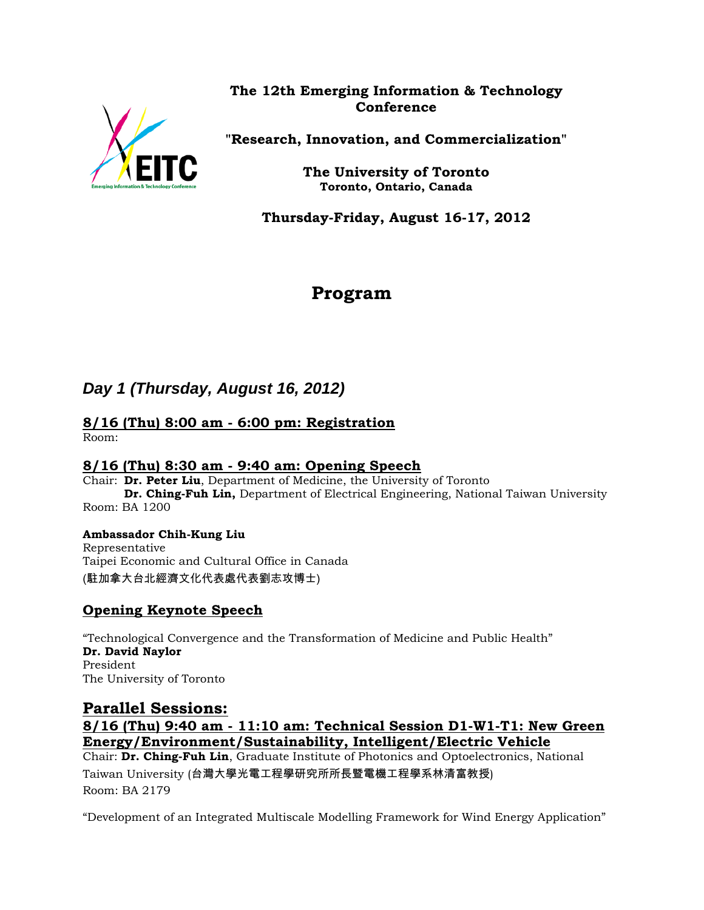

# **The 12th Emerging Information & Technology Conference**

**"Research, Innovation, and Commercialization"**

**The University of Toronto Toronto, Ontario, Canada**

**Thursday-Friday, August 16-17, 2012**

# **Program**

# *Day 1 (Thursday, August 16, 2012)*

#### **8/16 (Thu) 8:00 am - 6:00 pm: Registration**  Room:

## **8/16 (Thu) 8:30 am - 9:40 am: Opening Speech**

Chair: **Dr. Peter Liu**, Department of Medicine, the University of Toronto **Dr. Ching-Fuh Lin,** Department of Electrical Engineering, National Taiwan University Room: BA 1200

# **Ambassador Chih-Kung Liu**

Representative Taipei Economic and Cultural Office in Canada (駐加拿大台北經濟文化代表處代表劉志攻博士)

# **Opening Keynote Speech**

"Technological Convergence and the Transformation of Medicine and Public Health" **Dr. David Naylor** President The University of Toronto

# **Parallel Sessions: 8/16 (Thu) 9:40 am - 11:10 am: Technical Session D1-W1-T1: New Green Energy/Environment/Sustainability, Intelligent/Electric Vehicle** Chair: **Dr. Ching-Fuh Lin**, Graduate Institute of Photonics and Optoelectronics, National Taiwan University (台灣大學光電工程學研究所所長暨電機工程學系林清富教授)

Room: BA 2179

"Development of an Integrated Multiscale Modelling Framework for Wind Energy Application"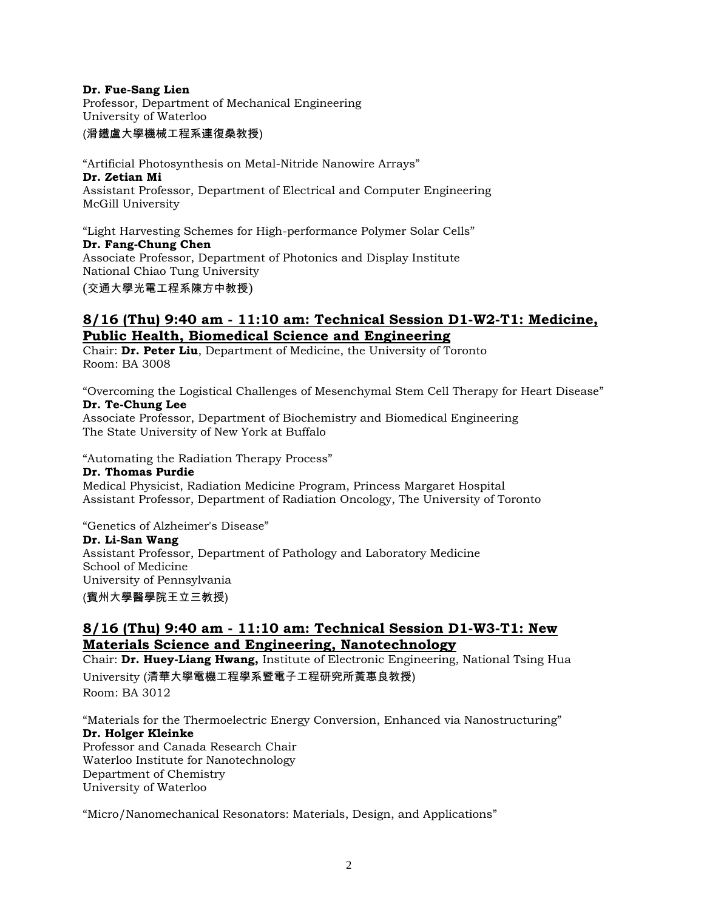#### **Dr. Fue-Sang Lien**

Professor, Department of Mechanical Engineering University of Waterloo

(滑鐵盧大學機械工程系連復桑教授)

"Artificial Photosynthesis on Metal-Nitride Nanowire Arrays" **Dr. Zetian Mi** Assistant Professor, Department of Electrical and Computer Engineering McGill University

"Light Harvesting Schemes for High-performance Polymer Solar Cells" **Dr. Fang-Chung Chen** Associate Professor, Department of Photonics and Display Institute National Chiao Tung University (交通大學光電工程系陳方中教授)

### **8/16 (Thu) 9:40 am - 11:10 am: Technical Session D1-W2-T1: Medicine, Public Health, Biomedical Science and Engineering**

Chair: **Dr. Peter Liu**, Department of Medicine, the University of Toronto Room: BA 3008

"Overcoming the Logistical Challenges of Mesenchymal Stem Cell Therapy for Heart Disease" **Dr. Te-Chung Lee**

Associate Professor, Department of Biochemistry and Biomedical Engineering The State University of New York at Buffalo

"Automating the Radiation Therapy Process"

**Dr. Thomas Purdie** Medical Physicist, Radiation Medicine Program, Princess Margaret Hospital Assistant Professor, Department of Radiation Oncology, The University of Toronto

"Genetics of Alzheimer's Disease"

**Dr. Li-San Wang**

Assistant Professor, Department of Pathology and Laboratory Medicine School of Medicine University of Pennsylvania (賓州大學醫學院王立三教授)

### **8/16 (Thu) 9:40 am - 11:10 am: Technical Session D1-W3-T1: New Materials Science and Engineering, Nanotechnology**

Chair: **Dr. Huey-Liang Hwang,** Institute of Electronic Engineering, National Tsing Hua University (清華大學電機工程學系暨電子工程研究所黃惠良教授)

Room: BA 3012

"Materials for the Thermoelectric Energy Conversion, Enhanced via Nanostructuring" **Dr. Holger Kleinke** Professor and Canada Research Chair Waterloo Institute for Nanotechnology

Department of Chemistry

University of Waterloo

"Micro/Nanomechanical Resonators: Materials, Design, and Applications"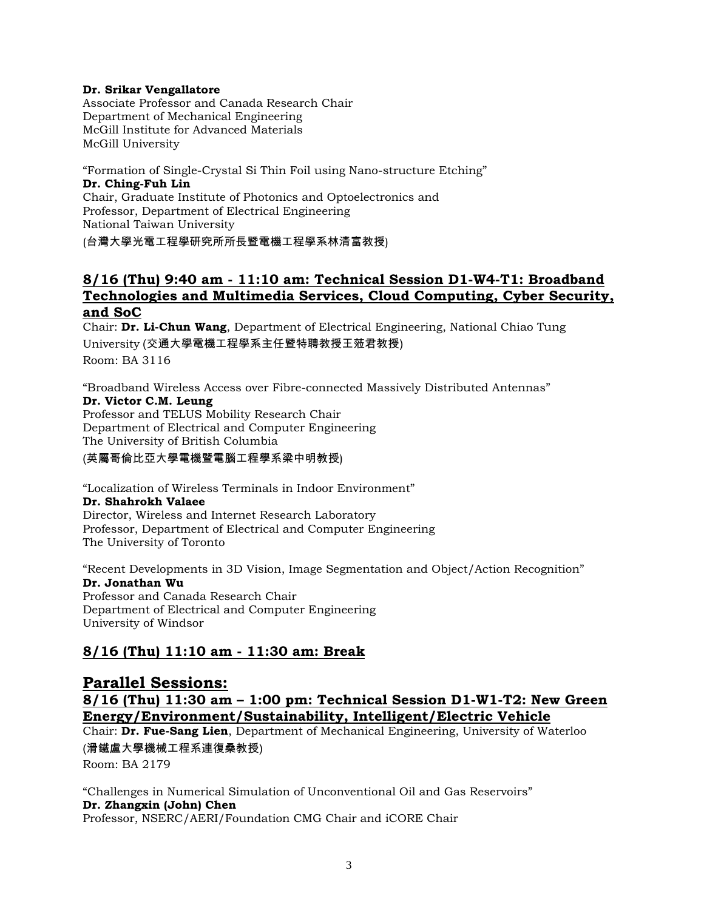#### **Dr. Srikar Vengallatore**

Associate Professor and Canada Research Chair Department of Mechanical Engineering McGill Institute for Advanced Materials McGill University

"Formation of Single-Crystal Si Thin Foil using Nano-structure Etching" **Dr. Ching-Fuh Lin** Chair, Graduate Institute of Photonics and Optoelectronics and Professor, Department of Electrical Engineering National Taiwan University (台灣大學光電工程學研究所所長暨電機工程學系林清富教授)

### **8/16 (Thu) 9:40 am - 11:10 am: Technical Session D1-W4-T1: Broadband Technologies and Multimedia Services, Cloud Computing, Cyber Security, and SoC**

Chair: **Dr. Li-Chun Wang**, Department of Electrical Engineering, National Chiao Tung University (交通大學電機工程學系主任暨特聘教授王蒞君教授) Room: BA 3116

"Broadband Wireless Access over Fibre-connected Massively Distributed Antennas" **Dr. Victor C.M. Leung** Professor and TELUS Mobility Research Chair Department of Electrical and Computer Engineering The University of British Columbia

(英屬哥倫比亞大學電機暨電腦工程學系梁中明教授)

"Localization of Wireless Terminals in Indoor Environment" **Dr. Shahrokh Valaee** Director, Wireless and Internet Research Laboratory Professor, Department of Electrical and Computer Engineering The University of Toronto

"Recent Developments in 3D Vision, Image Segmentation and Object/Action Recognition" **Dr. Jonathan Wu** Professor and Canada Research Chair Department of Electrical and Computer Engineering University of Windsor

# **8/16 (Thu) 11:10 am - 11:30 am: Break**

# **Parallel Sessions: 8/16 (Thu) 11:30 am – 1:00 pm: Technical Session D1-W1-T2: New Green Energy/Environment/Sustainability, Intelligent/Electric Vehicle**

Chair: **Dr. Fue-Sang Lien**, Department of Mechanical Engineering, University of Waterloo (滑鐵盧大學機械工程系連復桑教授)

Room: BA 2179

"Challenges in Numerical Simulation of Unconventional Oil and Gas Reservoirs" **Dr. Zhangxin (John) Chen** Professor, NSERC/AERI/Foundation CMG Chair and iCORE Chair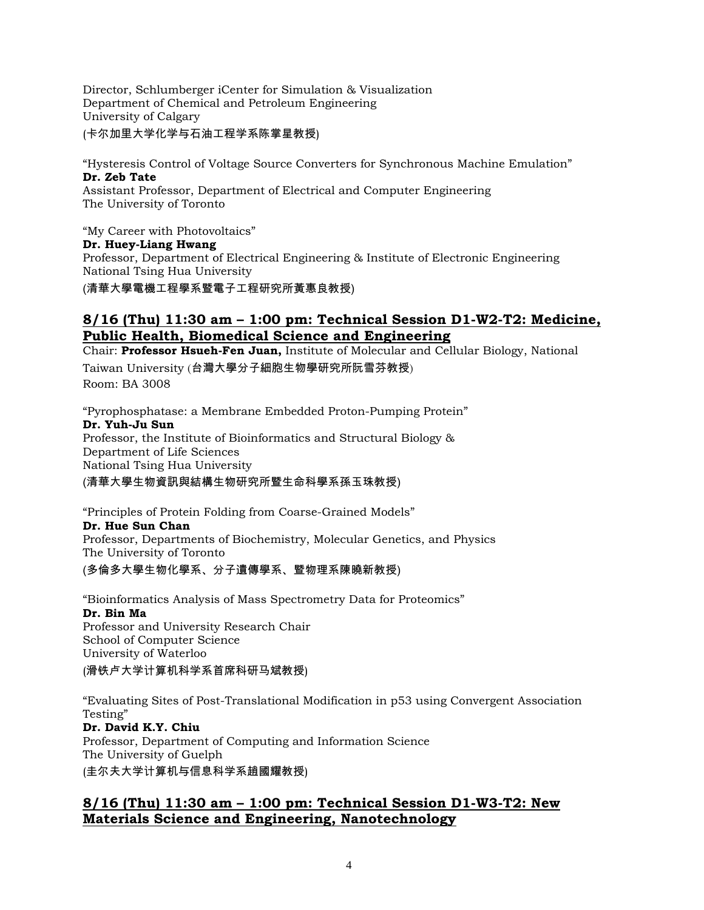Director, Schlumberger iCenter for Simulation & Visualization Department of Chemical and Petroleum Engineering University of Calgary (卡尔加里大学化学与石油工程学系陈掌星教授)

"Hysteresis Control of Voltage Source Converters for Synchronous Machine Emulation" **Dr. Zeb Tate**  Assistant Professor, Department of Electrical and Computer Engineering

The University of Toronto

"My Career with Photovoltaics" **Dr. Huey-Liang Hwang**

Professor, Department of Electrical Engineering & Institute of Electronic Engineering National Tsing Hua University

(清華大學電機工程學系暨電子工程研究所黃惠良教授)

# **8/16 (Thu) 11:30 am – 1:00 pm: Technical Session D1-W2-T2: Medicine, Public Health, Biomedical Science and Engineering**

Chair: **Professor Hsueh-Fen Juan,** Institute of Molecular and Cellular Biology, National Taiwan University (台灣大學分子細胞生物學研究所阮雪芬教授) Room: BA 3008

"Pyrophosphatase: a Membrane Embedded Proton-Pumping Protein" **Dr. Yuh-Ju Sun** Professor, the Institute of Bioinformatics and Structural Biology & Department of Life Sciences National Tsing Hua University

### (清華大學生物資訊與結構生物研究所暨生命科學系孫玉珠教授)

"Principles of Protein Folding from Coarse-Grained Models" **Dr. Hue Sun Chan** Professor, Departments of Biochemistry, Molecular Genetics, and Physics The University of Toronto

(多倫多大學生物化學系、分子遺傳學系、暨物理系陳曉新教授)

"Bioinformatics Analysis of Mass Spectrometry Data for Proteomics" **Dr. Bin Ma** Professor and University Research Chair School of Computer Science University of Waterloo

(滑铁卢大学计算机科学系首席科研马斌教授)

"Evaluating Sites of Post-Translational Modification in p53 using Convergent Association Testing"

## **Dr. David K.Y. Chiu**

Professor, Department of Computing and Information Science The University of Guelph (圭尔夫大学计算机与信息科学系趙國耀教授)

# **8/16 (Thu) 11:30 am – 1:00 pm: Technical Session D1-W3-T2: New Materials Science and Engineering, Nanotechnology**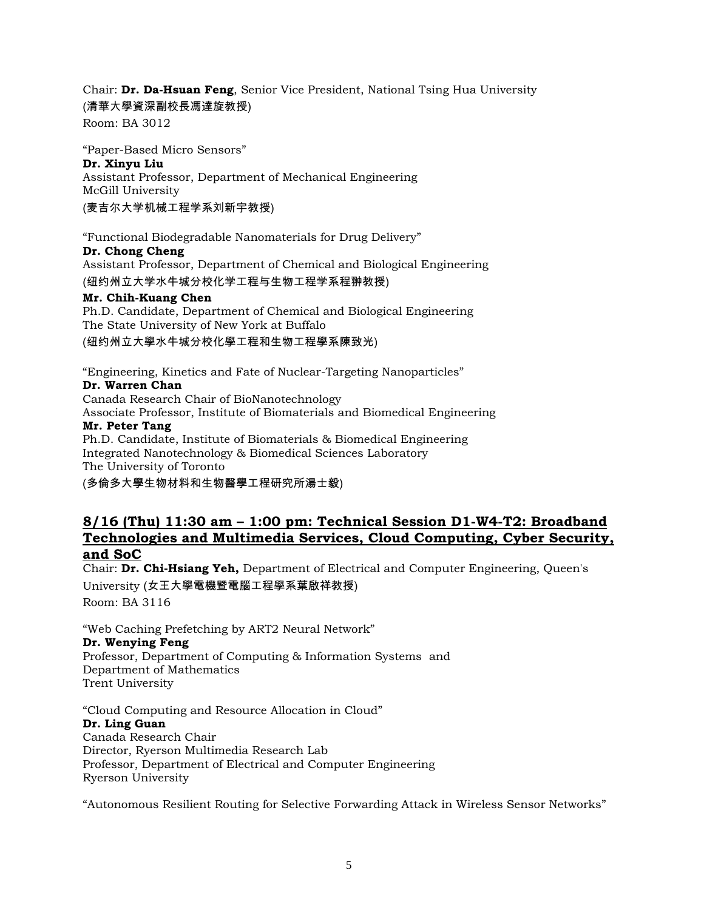Chair: **Dr. Da-Hsuan Feng**, Senior Vice President, National Tsing Hua University (清華大學資深副校長馮達旋教授)

Room: BA 3012

"Paper-Based Micro Sensors" **Dr. Xinyu Liu** Assistant Professor, Department of Mechanical Engineering McGill University (麦吉尔大学机械工程学系刘新宇教授)

"Functional Biodegradable Nanomaterials for Drug Delivery" **Dr. Chong Cheng** Assistant Professor, Department of Chemical and Biological Engineering (纽约州立大学水牛城分校化学工程与生物工程学系程翀教授)

## **Mr. Chih-Kuang Chen**

Ph.D. Candidate, Department of Chemical and Biological Engineering The State University of New York at Buffalo (纽约州立大學水牛城分校化學工程和生物工程學系陳致光)

"Engineering, Kinetics and Fate of Nuclear-Targeting Nanoparticles"

#### **Dr. Warren Chan**

Canada Research Chair of BioNanotechnology Associate Professor, Institute of Biomaterials and Biomedical Engineering **Mr. Peter Tang** Ph.D. Candidate, Institute of Biomaterials & Biomedical Engineering Integrated Nanotechnology & Biomedical Sciences Laboratory The University of Toronto

(多倫多大學生物材料和生物醫學工程研究所湯士毅)

### **8/16 (Thu) 11:30 am – 1:00 pm: Technical Session D1-W4-T2: Broadband Technologies and Multimedia Services, Cloud Computing, Cyber Security, and SoC**

Chair: **Dr. Chi-Hsiang Yeh,** Department of Electrical and Computer Engineering, Queen's University (女王大學電機暨電腦工程學系葉啟祥教授) Room: BA 3116

"Web Caching Prefetching by ART2 Neural Network" **Dr. Wenying Feng** Professor, [Department of Computing & Information Systems](http://www.trentu.ca/csp) and [Department of Mathematics](http://euclid.trentu.ca/math/welcome.html) Trent University

"Cloud Computing and Resource Allocation in Cloud" **Dr. Ling Guan** Canada Research Chair Director, Ryerson Multimedia Research Lab Professor, Department of Electrical and Computer Engineering Ryerson University

"Autonomous Resilient Routing for Selective Forwarding Attack in Wireless Sensor Networks"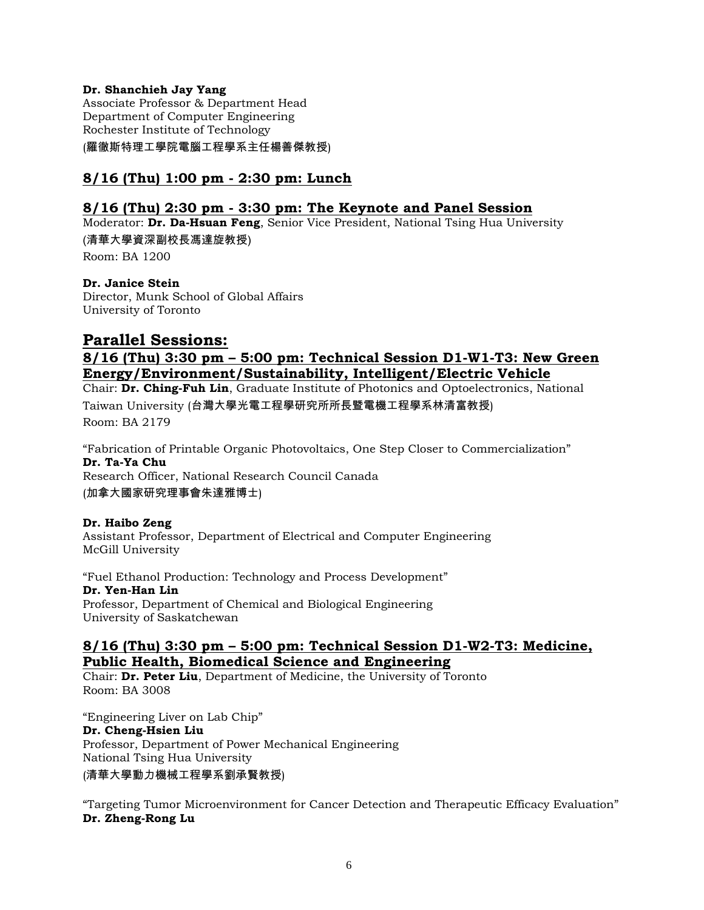### **Dr. Shanchieh Jay Yang**

Associate Professor & Department Head Department of Computer Engineering Rochester Institute of Technology

(羅徹斯特理工學院電腦工程學系主任楊善傑教授)

### **8/16 (Thu) 1:00 pm - 2:30 pm: Lunch**

### **8/16 (Thu) 2:30 pm - 3:30 pm: The Keynote and Panel Session**

Moderator: **Dr. Da-Hsuan Feng**, Senior Vice President, National Tsing Hua University (清華大學資深副校長馮達旋教授)

Room: BA 1200

**Dr. Janice Stein** Director, Munk School of Global Affairs University of Toronto

### **Parallel Sessions:**

### **8/16 (Thu) 3:30 pm – 5:00 pm: Technical Session D1-W1-T3: New Green Energy/Environment/Sustainability, Intelligent/Electric Vehicle**

Chair: **Dr. Ching-Fuh Lin**, Graduate Institute of Photonics and Optoelectronics, National

Taiwan University (台灣大學光電工程學研究所所長暨電機工程學系林清富教授) Room: BA 2179

"Fabrication of Printable Organic Photovoltaics, One Step Closer to Commercialization" **Dr. Ta-Ya Chu** Research Officer, National Research Council Canada (加拿大國家研究理事會朱達雅博士)

#### **Dr. Haibo Zeng**

Assistant Professor, Department of Electrical and Computer Engineering McGill University

"Fuel Ethanol Production: Technology and Process Development" **Dr. Yen-Han Lin** Professor, Department of Chemical and Biological Engineering University of Saskatchewan

### **8/16 (Thu) 3:30 pm – 5:00 pm: Technical Session D1-W2-T3: Medicine, Public Health, Biomedical Science and Engineering**

Chair: **Dr. Peter Liu**, Department of Medicine, the University of Toronto Room: BA 3008

"Engineering Liver on Lab Chip" **Dr. Cheng-Hsien Liu** Professor, Department of Power Mechanical Engineering National Tsing Hua University (清華大學動力機械工程學系劉承賢教授)

"Targeting Tumor Microenvironment for Cancer Detection and Therapeutic Efficacy Evaluation" **Dr. Zheng-Rong Lu**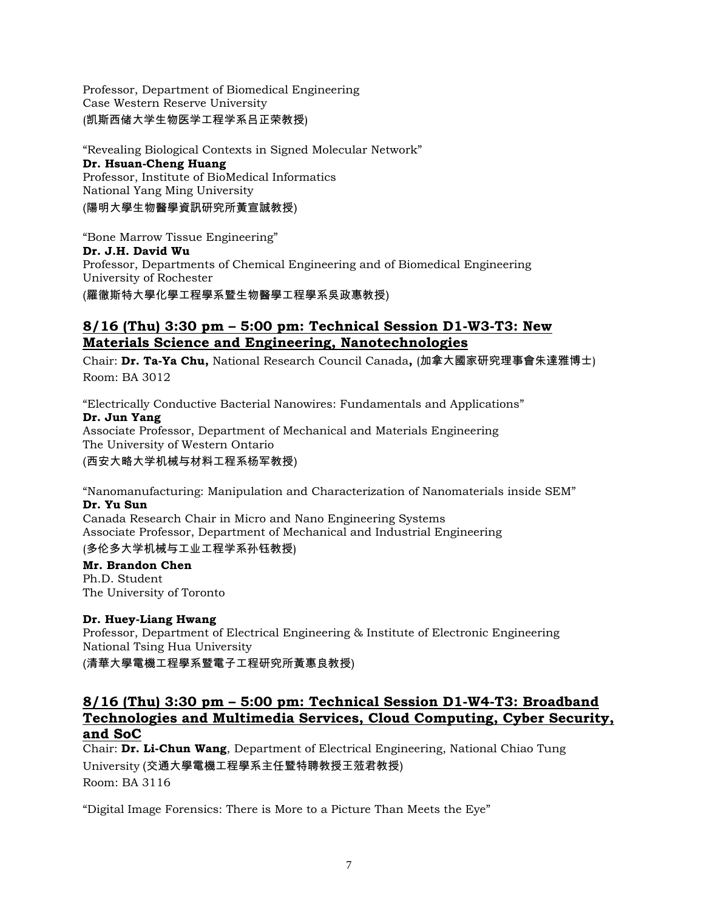Professor, Department of Biomedical Engineering Case Western Reserve University (凯斯西储大学生物医学工程学系吕正荣教授)

"Revealing Biological Contexts in Signed Molecular Network" **Dr. Hsuan-Cheng Huang** Professor, Institute of BioMedical Informatics National Yang Ming University (陽明大學生物醫學資訊研究所黃宣誠教授)

"Bone Marrow Tissue Engineering" **Dr. J.H. David Wu** Professor, Departments of Chemical Engineering and of Biomedical Engineering University of Rochester (羅徹斯特大學化學工程學系暨生物醫學工程學系吳政惠教授)

## **8/16 (Thu) 3:30 pm – 5:00 pm: Technical Session D1-W3-T3: New Materials Science and Engineering, Nanotechnologies**

Chair: **Dr. Ta-Ya Chu,** National Research Council Canada**,** (加拿大國家研究理事會朱達雅博士) Room: BA 3012

"Electrically Conductive Bacterial Nanowires: Fundamentals and Applications" **Dr. Jun Yang** Associate Professor, Department of Mechanical and Materials Engineering The University of Western Ontario

(西安大略大学机械与材料工程系杨军教授)

"Nanomanufacturing: Manipulation and Characterization of Nanomaterials inside SEM" **Dr. Yu Sun**

Canada Research Chair in Micro and Nano Engineering Systems Associate Professor, Department of Mechanical and Industrial Engineering

(多伦多大学机械与工业工程学系孙钰教授)

**Mr. Brandon Chen** Ph.D. Student The University of Toronto

### **Dr. Huey-Liang Hwang**

Professor, Department of Electrical Engineering & Institute of Electronic Engineering National Tsing Hua University

(清華大學電機工程學系暨電子工程研究所黃惠良教授)

### **8/16 (Thu) 3:30 pm – 5:00 pm: Technical Session D1-W4-T3: Broadband Technologies and Multimedia Services, Cloud Computing, Cyber Security, and SoC**

Chair: **Dr. Li-Chun Wang**, Department of Electrical Engineering, National Chiao Tung University (交通大學電機工程學系主任暨特聘教授王蒞君教授) Room: BA 3116

"Digital Image Forensics: There is More to a Picture Than Meets the Eye"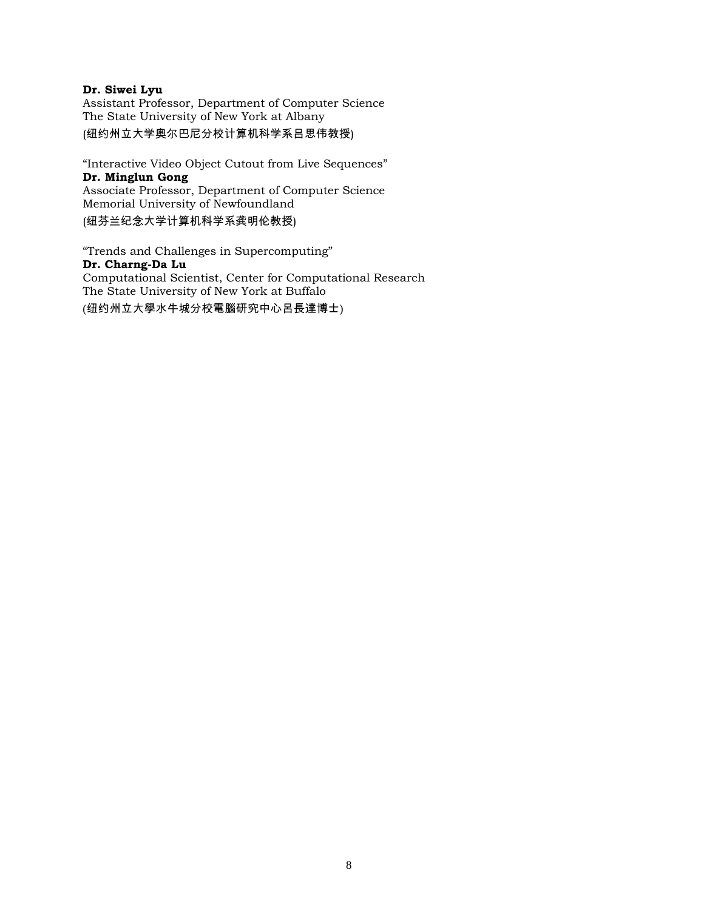#### **Dr. Siwei Lyu**

Assistant Professor, Department of Computer Science The State University of New York at Albany (纽约州立大学奥尔巴尼分校计算机科学系吕思伟教授)

"Interactive Video Object Cutout from Live Sequences" **Dr. Minglun Gong**  Associate Professor, Department of Computer Science Memorial University of Newfoundland (纽芬兰纪念大学计算机科学系龚明伦教授)

"Trends and Challenges in Supercomputing" **Dr. Charng-Da Lu** Computational Scientist, Center for Computational Research The State University of New York at Buffalo (纽约州立大學水牛城分校電腦研究中心呂長達博士)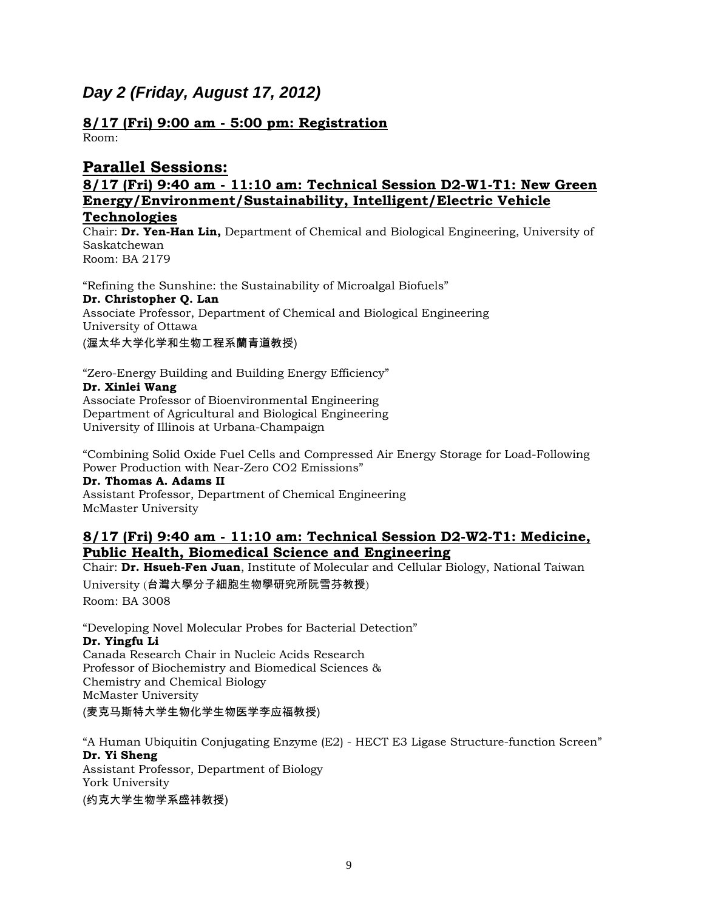# *Day 2 (Friday, August 17, 2012)*

**8/17 (Fri) 9:00 am - 5:00 pm: Registration**  Room:

# **Parallel Sessions:**

### **8/17 (Fri) 9:40 am - 11:10 am: Technical Session D2-W1-T1: New Green Energy/Environment/Sustainability, Intelligent/Electric Vehicle Technologies**

Chair: **Dr. Yen-Han Lin,** Department of Chemical and Biological Engineering, University of Saskatchewan Room: BA 2179

"Refining the Sunshine: the Sustainability of Microalgal Biofuels" **Dr. Christopher Q. Lan** Associate Professor, Department of Chemical and Biological Engineering University of Ottawa (渥太华大学化学和生物工程系蘭青道教授)

"Zero-Energy Building and Building Energy Efficiency"

**Dr. Xinlei Wang**

Associate Professor of Bioenvironmental Engineering Department of Agricultural and Biological Engineering University of Illinois at Urbana-Champaign

"Combining Solid Oxide Fuel Cells and Compressed Air Energy Storage for Load-Following Power Production with Near-Zero CO2 Emissions"

**Dr. Thomas A. Adams II** Assistant Professor, Department of Chemical Engineering McMaster University

### **8/17 (Fri) 9:40 am - 11:10 am: Technical Session D2-W2-T1: Medicine, Public Health, Biomedical Science and Engineering**

Chair: **Dr. Hsueh-Fen Juan**, Institute of Molecular and Cellular Biology, National Taiwan University (台灣大學分子細胞生物學研究所阮雪芬教授) Room: BA 3008

"Developing Novel Molecular Probes for Bacterial Detection" **Dr. Yingfu Li** Canada Research Chair in Nucleic Acids Research Professor of Biochemistry and Biomedical Sciences & Chemistry and Chemical Biology McMaster University

(麦克马斯特大学生物化学生物医学李应福教授)

"A Human Ubiquitin Conjugating Enzyme (E2) - HECT E3 Ligase Structure-function Screen" **Dr. Yi Sheng** Assistant Professor, Department of Biology York University (约克大学生物学系盛祎教授)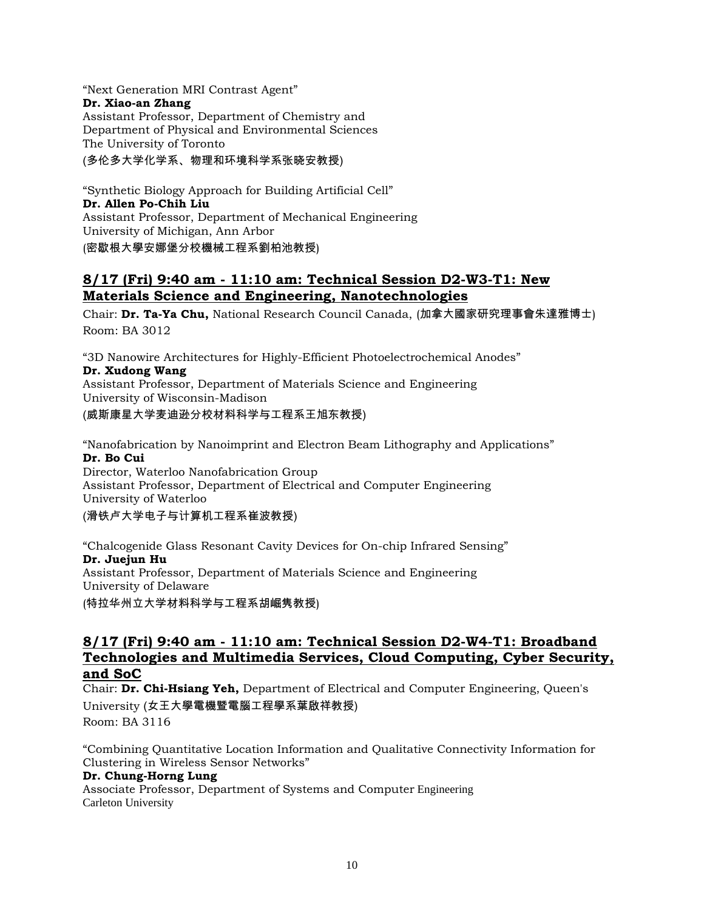"Next Generation MRI Contrast Agent" **Dr. Xiao-an Zhang** Assistant Professor, Department of Chemistry and Department of Physical and Environmental Sciences The University of Toronto (多伦多大学化学系、物理和环境科学系张晓安教授)

"Synthetic Biology Approach for Building Artificial Cell" **Dr. Allen Po-Chih Liu** Assistant Professor, Department of Mechanical Engineering University of Michigan, Ann Arbor (密歇根大學安娜堡分校機械工程系劉柏池教授)

### **8/17 (Fri) 9:40 am - 11:10 am: Technical Session D2-W3-T1: New Materials Science and Engineering, Nanotechnologies**

Chair: **Dr. Ta-Ya Chu,** National Research Council Canada, (加拿大國家研究理事會朱達雅博士) Room: BA 3012

"3D Nanowire Architectures for Highly-Efficient Photoelectrochemical Anodes"

### **Dr. Xudong Wang**

Assistant Professor, Department of Materials Science and Engineering University of Wisconsin-Madison

(威斯康星大学麦迪逊分校材料科学与工程系王旭东教授)

"Nanofabrication by Nanoimprint and Electron Beam Lithography and Applications" **Dr. Bo Cui** Director, Waterloo Nanofabrication Group

Assistant Professor, Department of Electrical and Computer Engineering University of Waterloo

(滑铁卢大学电子与计算机工程系崔波教授)

"Chalcogenide Glass Resonant Cavity Devices for On-chip Infrared Sensing" **Dr. Juejun Hu** Assistant Professor, Department of Materials Science and Engineering University of Delaware (特拉华州立大学材料科学与工程系胡崛隽教授)

### **8/17 (Fri) 9:40 am - 11:10 am: Technical Session D2-W4-T1: Broadband Technologies and Multimedia Services, Cloud Computing, Cyber Security, and SoC**

Chair: **Dr. Chi-Hsiang Yeh,** Department of Electrical and Computer Engineering, Queen's University (女王大學電機暨電腦工程學系葉啟祥教授) Room: BA 3116

"Combining Quantitative Location Information and Qualitative Connectivity Information for Clustering in Wireless Sensor Networks"

### **Dr. Chung-Horng Lung**

Associate Professor, Department of Systems and Computer Engineering Carleton University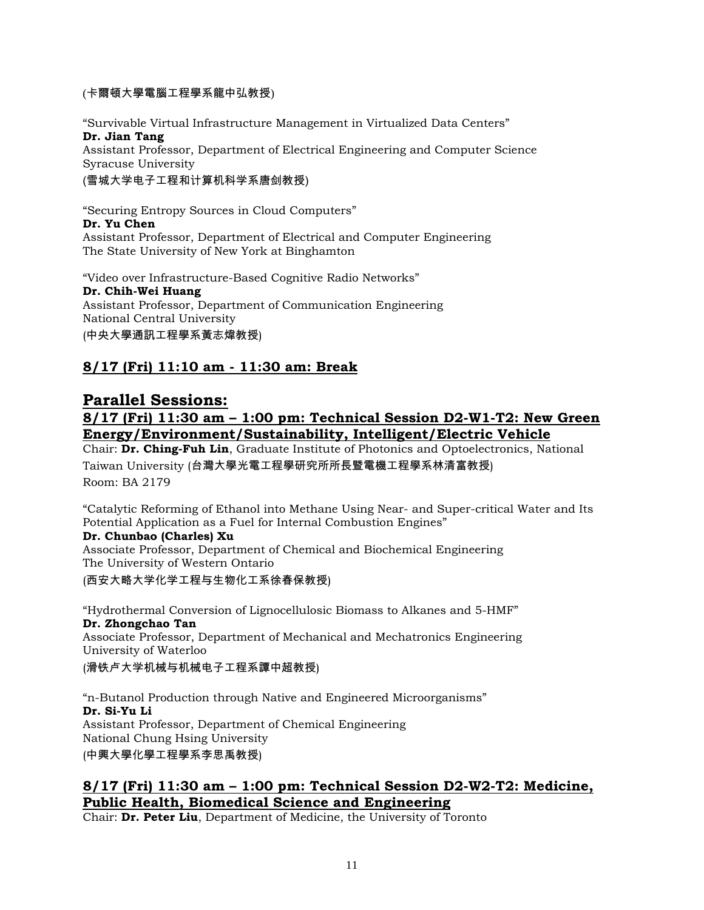### (卡爾頓大學電腦工程學系龍中弘教授)

"Survivable Virtual Infrastructure Management in Virtualized Data Centers" **Dr. Jian Tang** Assistant Professor, Department of Electrical Engineering and Computer Science Syracuse University

(雪城大学电子工程和计算机科学系唐剑教授)

"Securing Entropy Sources in Cloud Computers" **Dr. Yu Chen** Assistant Professor, Department of Electrical and Computer Engineering The State University of New York at Binghamton

"Video over Infrastructure-Based Cognitive Radio Networks" **Dr. Chih-Wei Huang** Assistant Professor, Department of Communication Engineering National Central University (中央大學通訊工程學系黃志煒教授)

# **8/17 (Fri) 11:10 am - 11:30 am: Break**

# **Parallel Sessions:**

## **8/17 (Fri) 11:30 am – 1:00 pm: Technical Session D2-W1-T2: New Green Energy/Environment/Sustainability, Intelligent/Electric Vehicle**

Chair: **Dr. Ching-Fuh Lin**, Graduate Institute of Photonics and Optoelectronics, National Taiwan University (台灣大學光電工程學研究所所長暨電機工程學系林清富教授) Room: BA 2179

"Catalytic Reforming of Ethanol into Methane Using Near- and Super-critical Water and Its

# Potential Application as a Fuel for Internal Combustion Engines"

### **Dr. Chunbao (Charles) Xu**

Associate Professor, Department of Chemical and Biochemical Engineering The University of Western Ontario (西安大略大学化学工程与生物化工系徐春保教授)

"Hydrothermal Conversion of Lignocellulosic Biomass to Alkanes and 5-HMF"

**Dr. Zhongchao Tan** Associate Professor, Department of Mechanical and Mechatronics Engineering University of Waterloo (滑铁卢大学机械与机械电子工程系譚中超教授)

"n-Butanol Production through Native and Engineered Microorganisms" **Dr. Si-Yu Li** Assistant Professor, Department of Chemical Engineering National Chung Hsing University (中興大學化學工程學系李思禹教授)

## **8/17 (Fri) 11:30 am – 1:00 pm: Technical Session D2-W2-T2: Medicine, Public Health, Biomedical Science and Engineering**

Chair: **Dr. Peter Liu**, Department of Medicine, the University of Toronto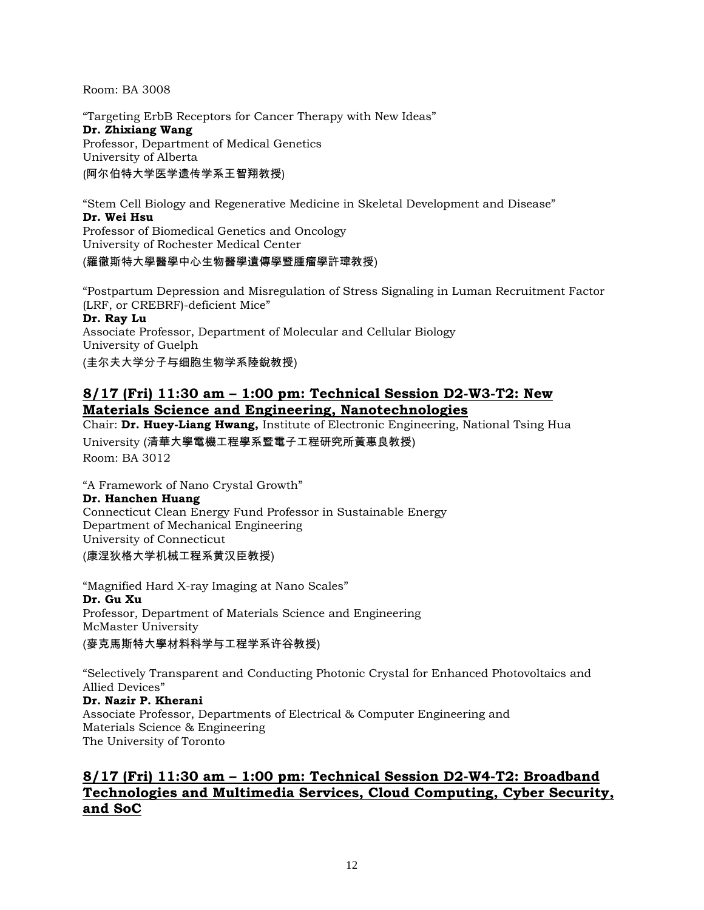Room: BA 3008

"Targeting ErbB Receptors for Cancer Therapy with New Ideas" **Dr. Zhixiang Wang** Professor, Department of Medical Genetics University of Alberta (阿尔伯特大学医学遗传学系王智翔教授)

"Stem Cell Biology and Regenerative Medicine in Skeletal Development and Disease" **Dr. Wei Hsu** Professor of Biomedical Genetics and Oncology University of Rochester Medical Center (羅徹斯特大學醫學中心生物醫學遺傳學暨腫瘤學許瑋教授)

"Postpartum Depression and Misregulation of Stress Signaling in Luman Recruitment Factor (LRF, or CREBRF)-deficient Mice"

#### **Dr. Ray Lu**

Associate Professor, Department of Molecular and Cellular Biology University of Guelph

(圭尔夫大学分子与细胞生物学系陸銳教授)

### **8/17 (Fri) 11:30 am – 1:00 pm: Technical Session D2-W3-T2: New Materials Science and Engineering, Nanotechnologies**

Chair: **Dr. Huey-Liang Hwang,** Institute of Electronic Engineering, National Tsing Hua University (清華大學電機工程學系暨電子工程研究所黃惠良教授) Room: BA 3012

"A Framework of Nano Crystal Growth" **Dr. Hanchen Huang** Connecticut Clean Energy Fund Professor in Sustainable Energy Department of Mechanical Engineering University of Connecticut

(康涅狄格大学机械工程系黄汉臣教授)

"Magnified Hard X-ray Imaging at Nano Scales" **Dr. Gu Xu** Professor, Department of Materials Science and Engineering McMaster University (麥克馬斯特大學材料科学与工程学系许谷教授)

"Selectively Transparent and Conducting Photonic Crystal for Enhanced Photovoltaics and Allied Devices"

**Dr. Nazir P. Kherani** Associate Professor, Departments of Electrical & Computer Engineering and Materials Science & Engineering The University of Toronto

# **8/17 (Fri) 11:30 am – 1:00 pm: Technical Session D2-W4-T2: Broadband Technologies and Multimedia Services, Cloud Computing, Cyber Security, and SoC**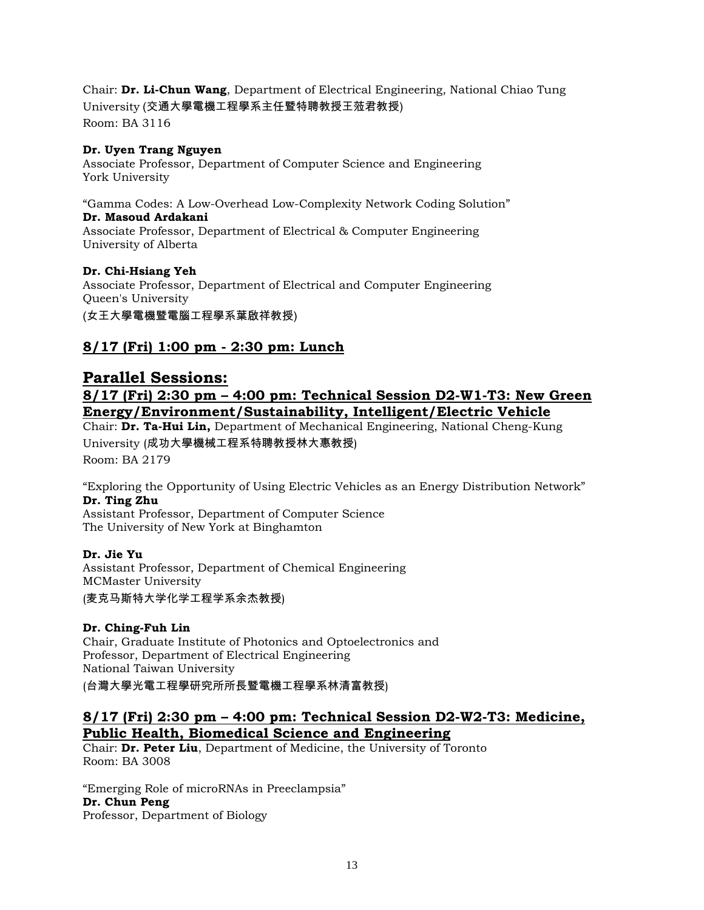Chair: **Dr. Li-Chun Wang**, Department of Electrical Engineering, National Chiao Tung University (交通大學電機工程學系主任暨特聘教授王蒞君教授) Room: BA 3116

#### **Dr. Uyen Trang Nguyen**

Associate Professor, Department of Computer Science and Engineering York University

"Gamma Codes: A Low-Overhead Low-Complexity Network Coding Solution"

#### **Dr. Masoud Ardakani**

Associate Professor, Department of Electrical & Computer Engineering University of Alberta

### **Dr. Chi-Hsiang Yeh**

Associate Professor, Department of Electrical and Computer Engineering Queen's University (女王大學電機暨電腦工程學系葉啟祥教授)

# **8/17 (Fri) 1:00 pm - 2:30 pm: Lunch**

# **Parallel Sessions: 8/17 (Fri) 2:30 pm – 4:00 pm: Technical Session D2-W1-T3: New Green Energy/Environment/Sustainability, Intelligent/Electric Vehicle**

Chair: **Dr. Ta-Hui Lin,** Department of Mechanical Engineering, National Cheng-Kung University (成功大學機械工程系特聘教授林大惠教授)

Room: BA 2179

"Exploring the Opportunity of Using Electric Vehicles as an Energy Distribution Network" **Dr. Ting Zhu**

Assistant Professor, Department of Computer Science The University of New York at Binghamton

### **Dr. Jie Yu**

Assistant Professor, Department of Chemical Engineering MCMaster University (麦克马斯特大学化学工程学系余杰教授)

### **Dr. Ching-Fuh Lin**

Chair, Graduate Institute of Photonics and Optoelectronics and Professor, Department of Electrical Engineering National Taiwan University (台灣大學光電工程學研究所所長暨電機工程學系林清富教授)

### **8/17 (Fri) 2:30 pm – 4:00 pm: Technical Session D2-W2-T3: Medicine, Public Health, Biomedical Science and Engineering**

Chair: **Dr. Peter Liu**, Department of Medicine, the University of Toronto Room: BA 3008

"Emerging Role of microRNAs in Preeclampsia" **Dr. Chun Peng** Professor, Department of Biology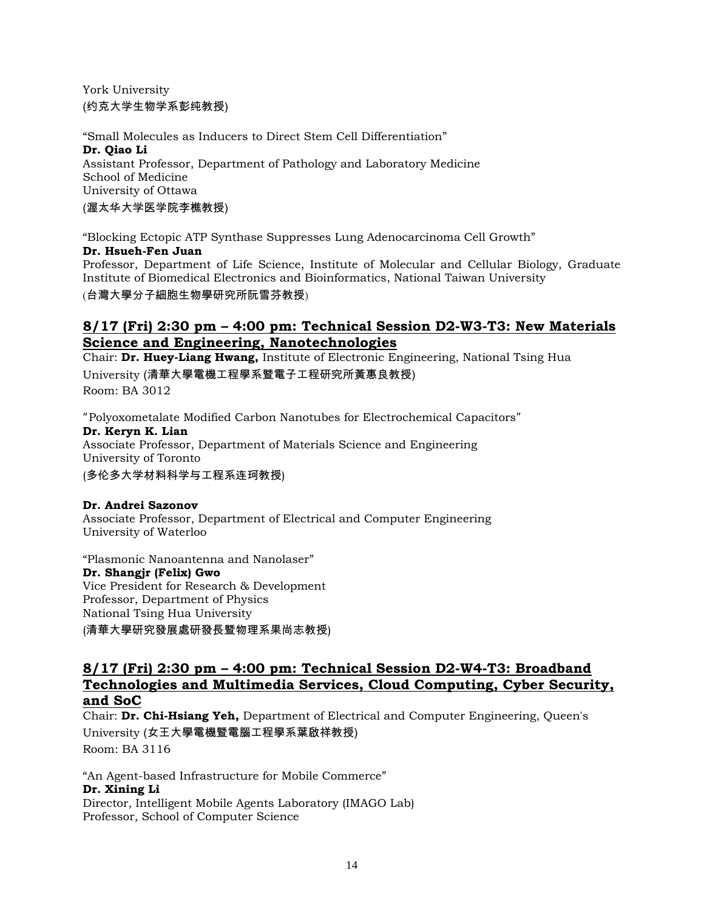York University (约克大学生物学系彭纯教授)

"Small Molecules as Inducers to Direct Stem Cell Differentiation" **Dr. Qiao Li** Assistant Professor, Department of Pathology and Laboratory Medicine School of Medicine University of Ottawa (渥太华大学医学院李樵教授)

"Blocking Ectopic ATP Synthase Suppresses Lung Adenocarcinoma Cell Growth" **Dr. Hsueh-Fen Juan** Professor, Department of Life Science, Institute of Molecular and Cellular Biology, Graduate Institute of Biomedical Electronics and Bioinformatics, National Taiwan University (台灣大學分子細胞生物學研究所阮雪芬教授)

### **8/17 (Fri) 2:30 pm – 4:00 pm: Technical Session D2-W3-T3: New Materials Science and Engineering, Nanotechnologies**

Chair: **Dr. Huey-Liang Hwang,** Institute of Electronic Engineering, National Tsing Hua University (清華大學電機工程學系暨電子工程研究所黃惠良教授) Room: BA 3012

"Polyoxometalate Modified Carbon Nanotubes for Electrochemical Capacitors" **Dr. Keryn K. Lian** Associate Professor, Department of Materials Science and Engineering University of Toronto

(多伦多大学材料科学与工程系连珂教授)

### **Dr. Andrei Sazonov**

Associate Professor, Department of Electrical and Computer Engineering University of Waterloo

"Plasmonic Nanoantenna and Nanolaser" **Dr. Shangjr (Felix) Gwo**  Vice President for Research & Development Professor, Department of Physics National Tsing Hua University (清華大學研究發展處研發長暨物理系果尚志教授)

### **8/17 (Fri) 2:30 pm – 4:00 pm: Technical Session D2-W4-T3: Broadband Technologies and Multimedia Services, Cloud Computing, Cyber Security, and SoC**

Chair: **Dr. Chi-Hsiang Yeh,** Department of Electrical and Computer Engineering, Queen's University (女王大學電機暨電腦工程學系葉啟祥教授) Room: BA 3116

"An Agent-based Infrastructure for Mobile Commerce" **Dr. Xining Li** Director, Intelligent Mobile Agents Laboratory (IMAGO Lab) Professor, School of Computer Science